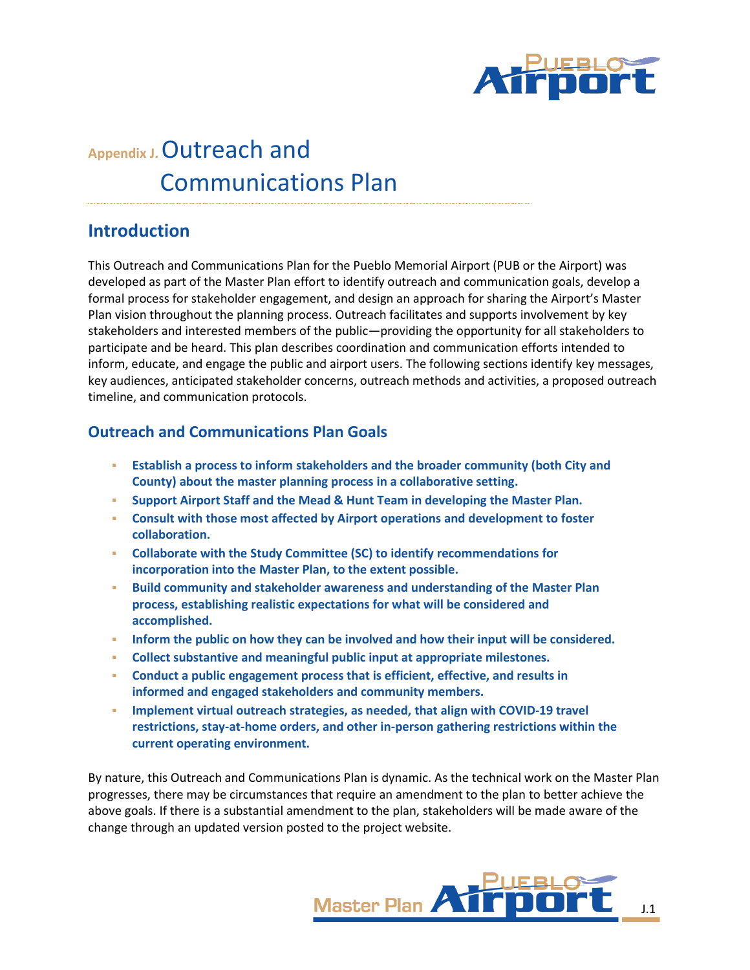

# **Appendix J.**Outreach and Communications Plan

# **Introduction**

This Outreach and Communications Plan for the Pueblo Memorial Airport (PUB or the Airport) was developed as part of the Master Plan effort to identify outreach and communication goals, develop a formal process for stakeholder engagement, and design an approach for sharing the Airport's Master Plan vision throughout the planning process. Outreach facilitates and supports involvement by key stakeholders and interested members of the public—providing the opportunity for all stakeholders to participate and be heard. This plan describes coordination and communication efforts intended to inform, educate, and engage the public and airport users. The following sections identify key messages, key audiences, anticipated stakeholder concerns, outreach methods and activities, a proposed outreach timeline, and communication protocols.

# **Outreach and Communications Plan Goals**

- **Establish a process to inform stakeholders and the broader community (both City and County) about the master planning process in a collaborative setting.**
- **Support Airport Staff and the Mead & Hunt Team in developing the Master Plan.**
- **Consult with those most affected by Airport operations and development to foster collaboration.**
- **Collaborate with the Study Committee (SC) to identify recommendations for incorporation into the Master Plan, to the extent possible.**
- **Build community and stakeholder awareness and understanding of the Master Plan process, establishing realistic expectations for what will be considered and accomplished.**
- **Inform the public on how they can be involved and how their input will be considered.**
- **Collect substantive and meaningful public input at appropriate milestones.**
- **Conduct a public engagement process that is efficient, effective, and results in informed and engaged stakeholders and community members.**
- **Implement virtual outreach strategies, as needed, that align with COVID-19 travel restrictions, stay-at-home orders, and other in-person gathering restrictions within the current operating environment.**

By nature, this Outreach and Communications Plan is dynamic. As the technical work on the Master Plan progresses, there may be circumstances that require an amendment to the plan to better achieve the above goals. If there is a substantial amendment to the plan, stakeholders will be made aware of the change through an updated version posted to the project website.

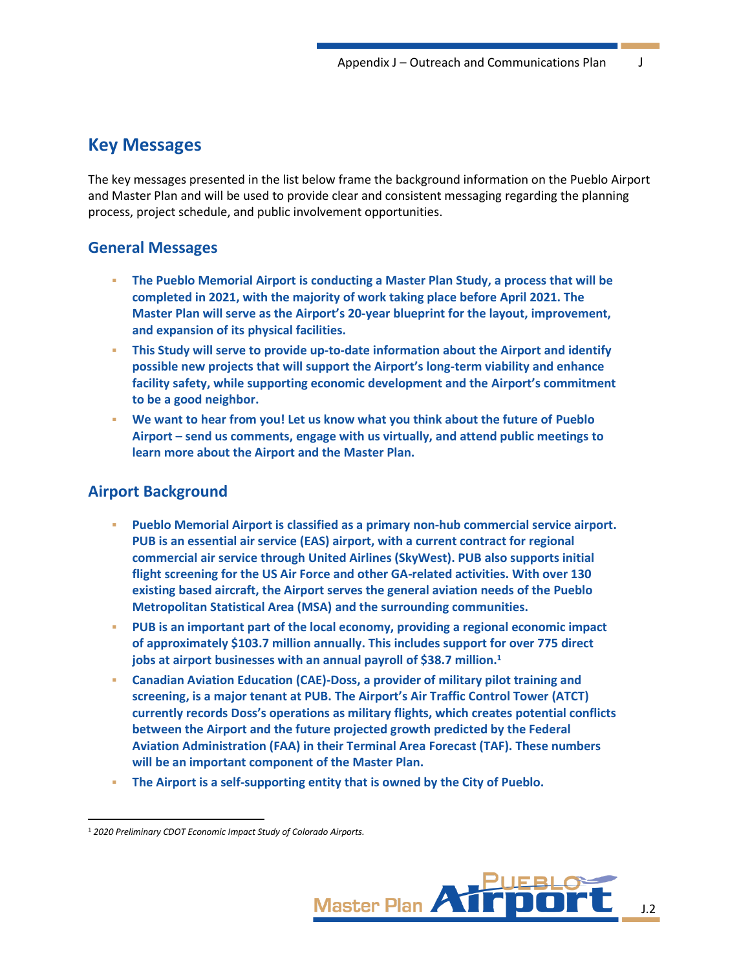# **Key Messages**

The key messages presented in the list below frame the background information on the Pueblo Airport and Master Plan and will be used to provide clear and consistent messaging regarding the planning process, project schedule, and public involvement opportunities.

### **General Messages**

- **The Pueblo Memorial Airport is conducting a Master Plan Study, a process that will be completed in 2021, with the majority of work taking place before April 2021. The Master Plan will serve as the Airport's 20-year blueprint for the layout, improvement, and expansion of its physical facilities.**
- **This Study will serve to provide up-to-date information about the Airport and identify possible new projects that will support the Airport's long-term viability and enhance facility safety, while supporting economic development and the Airport's commitment to be a good neighbor.**
- **We want to hear from you! Let us know what you think about the future of Pueblo Airport – send us comments, engage with us virtually, and attend public meetings to learn more about the Airport and the Master Plan.**

# **Airport Background**

- **Pueblo Memorial Airport is classified as a primary non-hub commercial service airport. PUB is an essential air service (EAS) airport, with a current contract for regional commercial air service through United Airlines (SkyWest). PUB also supports initial flight screening for the US Air Force and other GA-related activities. With over 130 existing based aircraft, the Airport serves the general aviation needs of the Pueblo Metropolitan Statistical Area (MSA) and the surrounding communities.**
- **PUB is an important part of the local economy, providing a regional economic impact of approximately \$103.7 million annually. This includes support for over 775 direct jobs at airport businesses with an annual payroll of \$38.7 million.<sup>1</sup>**
- **Canadian Aviation Education (CAE)-Doss, a provider of military pilot training and screening, is a major tenant at PUB. The Airport's Air Traffic Control Tower (ATCT) currently records Doss's operations as military flights, which creates potential conflicts between the Airport and the future projected growth predicted by the Federal Aviation Administration (FAA) in their Terminal Area Forecast (TAF). These numbers will be an important component of the Master Plan.**
- **The Airport is a self-supporting entity that is owned by the City of Pueblo.**

<sup>1</sup> *2020 Preliminary CDOT Economic Impact Study of Colorado Airports.*

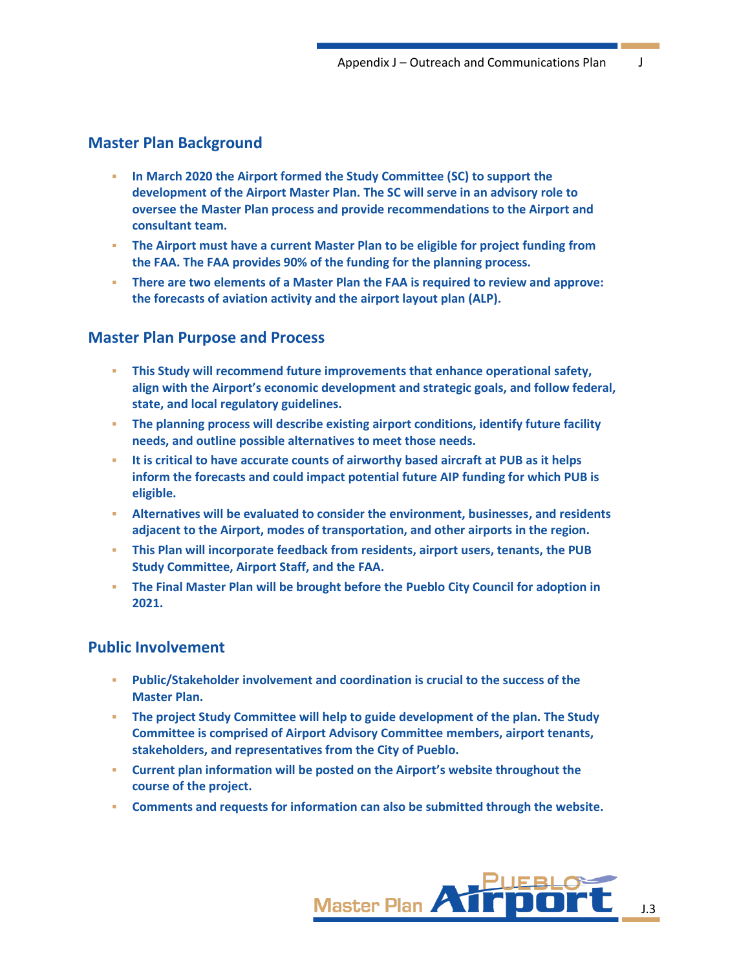# **Master Plan Background**

- **In March 2020 the Airport formed the Study Committee (SC) to support the development of the Airport Master Plan. The SC will serve in an advisory role to oversee the Master Plan process and provide recommendations to the Airport and consultant team.**
- **The Airport must have a current Master Plan to be eligible for project funding from the FAA. The FAA provides 90% of the funding for the planning process.**
- **There are two elements of a Master Plan the FAA is required to review and approve: the forecasts of aviation activity and the airport layout plan (ALP).**

### **Master Plan Purpose and Process**

- **This Study will recommend future improvements that enhance operational safety, align with the Airport's economic development and strategic goals, and follow federal, state, and local regulatory guidelines.**
- **The planning process will describe existing airport conditions, identify future facility needs, and outline possible alternatives to meet those needs.**
- **EXECT 15 It is critical to have accurate counts of airworthy based aircraft at PUB as it helps inform the forecasts and could impact potential future AIP funding for which PUB is eligible.**
- **Alternatives will be evaluated to consider the environment, businesses, and residents adjacent to the Airport, modes of transportation, and other airports in the region.**
- **This Plan will incorporate feedback from residents, airport users, tenants, the PUB Study Committee, Airport Staff, and the FAA.**
- **The Final Master Plan will be brought before the Pueblo City Council for adoption in 2021.**

### **Public Involvement**

- **Public/Stakeholder involvement and coordination is crucial to the success of the Master Plan.**
- **The project Study Committee will help to guide development of the plan. The Study Committee is comprised of Airport Advisory Committee members, airport tenants, stakeholders, and representatives from the City of Pueblo.**
- **Current plan information will be posted on the Airport's website throughout the course of the project.**
- **Comments and requests for information can also be submitted through the website.**

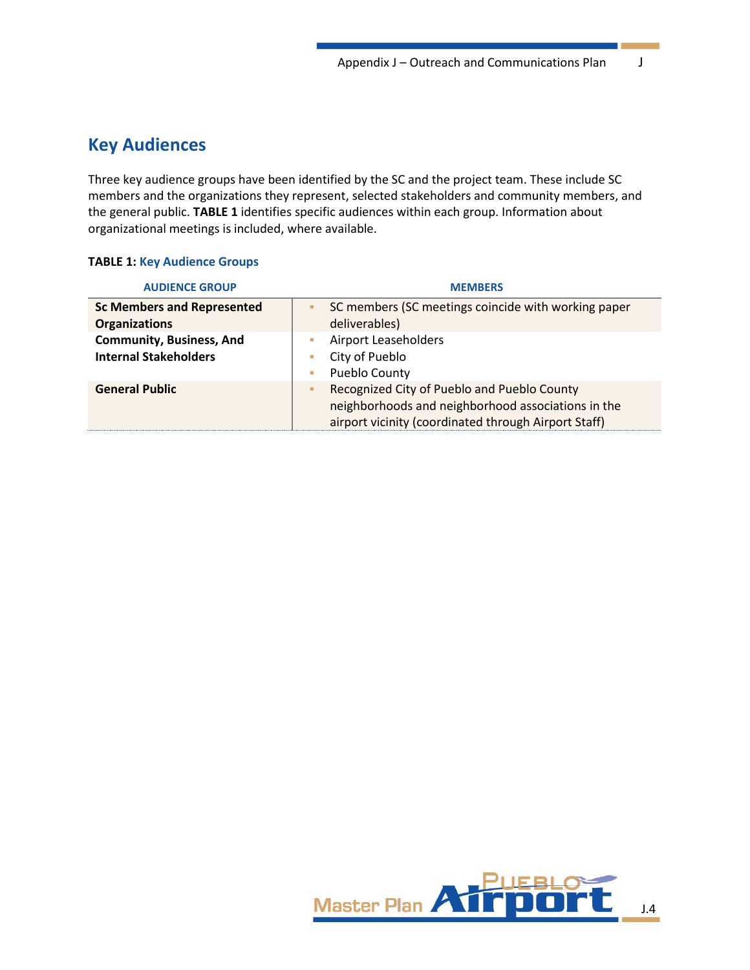# **Key Audiences**

Three key audience groups have been identified by the SC and the project team. These include SC members and the organizations they represent, selected stakeholders and community members, and the general public. **[TABLE](#page-3-0) 1** identifies specific audiences within each group. Information about organizational meetings is included, where available.

#### <span id="page-3-0"></span>**TABLE 1: Key Audience Groups**

| <b>AUDIENCE GROUP</b>                                           | <b>MEMBERS</b>                                                                                                                                                 |  |
|-----------------------------------------------------------------|----------------------------------------------------------------------------------------------------------------------------------------------------------------|--|
| <b>Sc Members and Represented</b><br><b>Organizations</b>       | SC members (SC meetings coincide with working paper<br>deliverables)                                                                                           |  |
| <b>Community, Business, And</b><br><b>Internal Stakeholders</b> | Airport Leaseholders<br>City of Pueblo<br>ш<br>Pueblo County<br>ш                                                                                              |  |
| <b>General Public</b>                                           | Recognized City of Pueblo and Pueblo County<br>٠<br>neighborhoods and neighborhood associations in the<br>airport vicinity (coordinated through Airport Staff) |  |

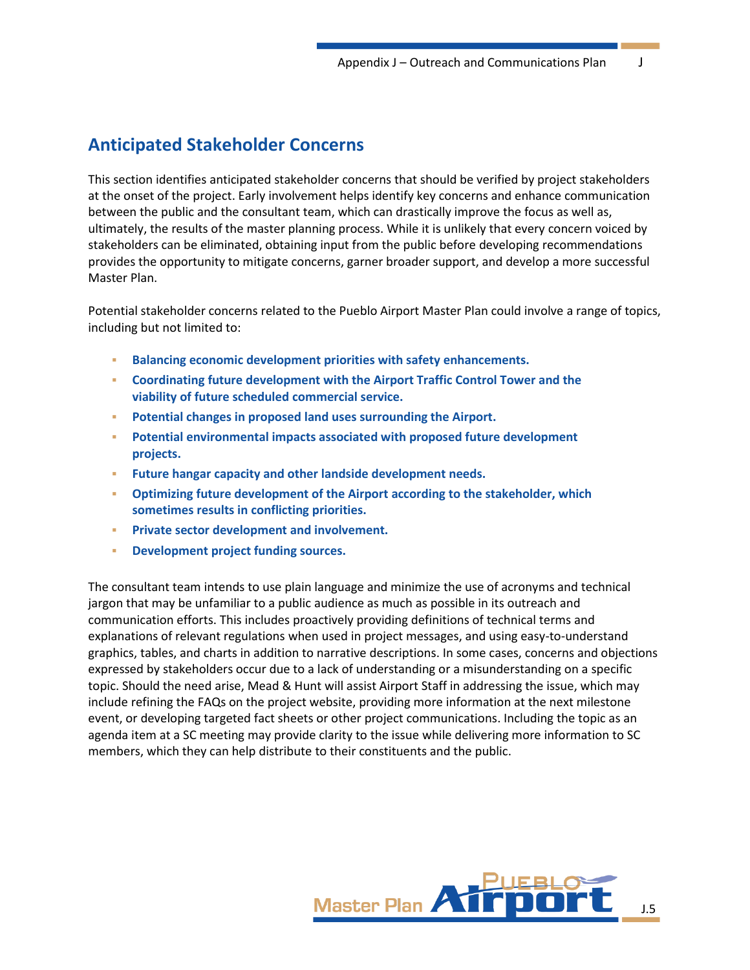# **Anticipated Stakeholder Concerns**

This section identifies anticipated stakeholder concerns that should be verified by project stakeholders at the onset of the project. Early involvement helps identify key concerns and enhance communication between the public and the consultant team, which can drastically improve the focus as well as, ultimately, the results of the master planning process. While it is unlikely that every concern voiced by stakeholders can be eliminated, obtaining input from the public before developing recommendations provides the opportunity to mitigate concerns, garner broader support, and develop a more successful Master Plan.

Potential stakeholder concerns related to the Pueblo Airport Master Plan could involve a range of topics, including but not limited to:

- **Balancing economic development priorities with safety enhancements.**
- **Coordinating future development with the Airport Traffic Control Tower and the viability of future scheduled commercial service.**
- **Potential changes in proposed land uses surrounding the Airport.**
- **Potential environmental impacts associated with proposed future development projects.**
- **Future hangar capacity and other landside development needs.**
- **Optimizing future development of the Airport according to the stakeholder, which sometimes results in conflicting priorities.**
- **Private sector development and involvement.**
- **Development project funding sources.**

The consultant team intends to use plain language and minimize the use of acronyms and technical jargon that may be unfamiliar to a public audience as much as possible in its outreach and communication efforts. This includes proactively providing definitions of technical terms and explanations of relevant regulations when used in project messages, and using easy-to-understand graphics, tables, and charts in addition to narrative descriptions. In some cases, concerns and objections expressed by stakeholders occur due to a lack of understanding or a misunderstanding on a specific topic. Should the need arise, Mead & Hunt will assist Airport Staff in addressing the issue, which may include refining the FAQs on the project website, providing more information at the next milestone event, or developing targeted fact sheets or other project communications. Including the topic as an agenda item at a SC meeting may provide clarity to the issue while delivering more information to SC members, which they can help distribute to their constituents and the public.

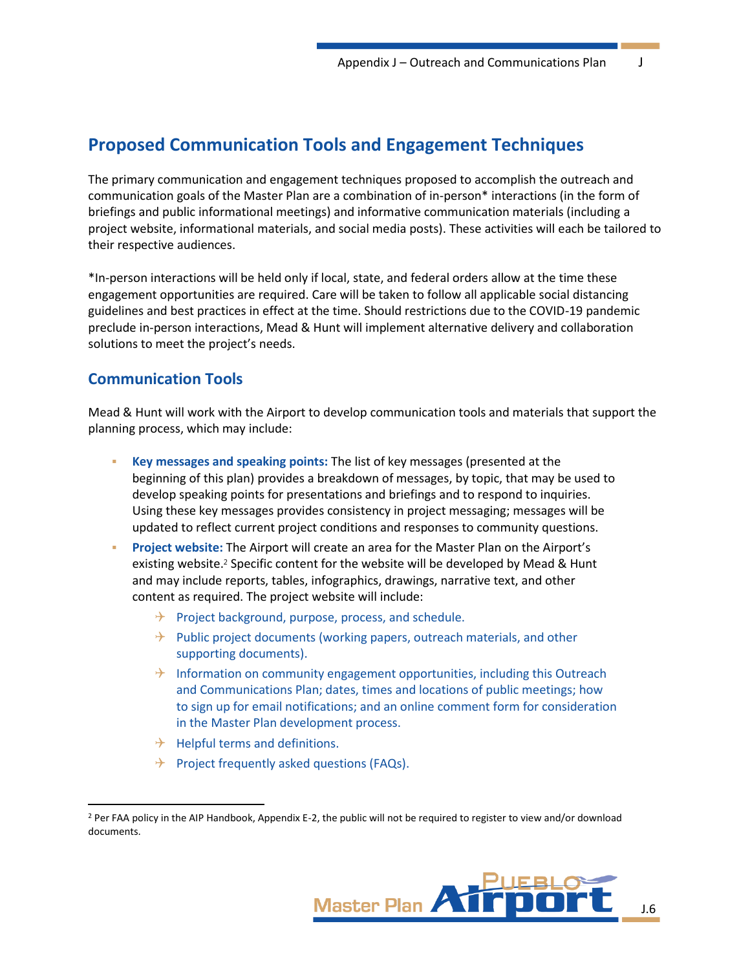# **Proposed Communication Tools and Engagement Techniques**

The primary communication and engagement techniques proposed to accomplish the outreach and communication goals of the Master Plan are a combination of in-person\* interactions (in the form of briefings and public informational meetings) and informative communication materials (including a project website, informational materials, and social media posts). These activities will each be tailored to their respective audiences.

\*In-person interactions will be held only if local, state, and federal orders allow at the time these engagement opportunities are required. Care will be taken to follow all applicable social distancing guidelines and best practices in effect at the time. Should restrictions due to the COVID-19 pandemic preclude in-person interactions, Mead & Hunt will implement alternative delivery and collaboration solutions to meet the project's needs.

# **Communication Tools**

Mead & Hunt will work with the Airport to develop communication tools and materials that support the planning process, which may include:

- **Key messages and speaking points:** The list of key messages (presented at the beginning of this plan) provides a breakdown of messages, by topic, that may be used to develop speaking points for presentations and briefings and to respond to inquiries. Using these key messages provides consistency in project messaging; messages will be updated to reflect current project conditions and responses to community questions.
- **Project website:** The Airport will create an area for the Master Plan on the Airport's existing website.<sup>2</sup> Specific content for the website will be developed by Mead & Hunt and may include reports, tables, infographics, drawings, narrative text, and other content as required. The project website will include:
	- $\rightarrow$  Project background, purpose, process, and schedule.
	- $\rightarrow$  Public project documents (working papers, outreach materials, and other supporting documents).
	- $\rightarrow$  Information on community engagement opportunities, including this Outreach and Communications Plan; dates, times and locations of public meetings; how to sign up for email notifications; and an online comment form for consideration in the Master Plan development process.
	- $\rightarrow$  Helpful terms and definitions.
	- $\rightarrow$  Project frequently asked questions (FAQs).

<sup>2</sup> Per FAA policy in the AIP Handbook, Appendix E-2, the public will not be required to register to view and/or download documents.

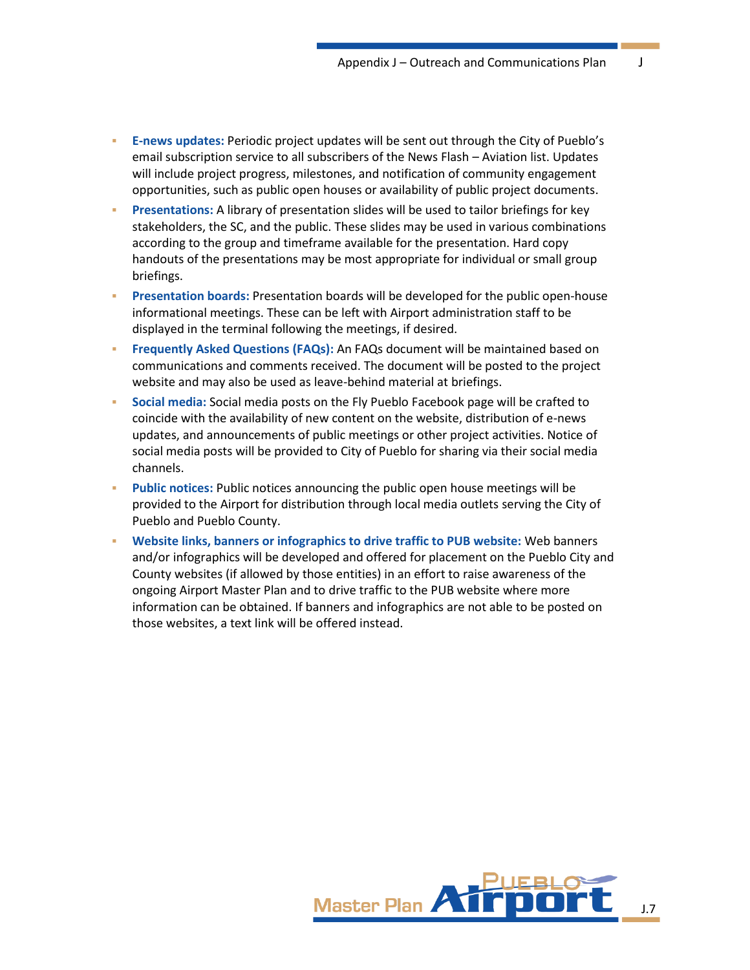- **E-news updates:** Periodic project updates will be sent out through the City of Pueblo's email subscription service to all subscribers of the News Flash – Aviation list. Updates will include project progress, milestones, and notification of community engagement opportunities, such as public open houses or availability of public project documents.
- **Presentations:** A library of presentation slides will be used to tailor briefings for key stakeholders, the SC, and the public. These slides may be used in various combinations according to the group and timeframe available for the presentation. Hard copy handouts of the presentations may be most appropriate for individual or small group briefings.
- **Presentation boards:** Presentation boards will be developed for the public open-house informational meetings. These can be left with Airport administration staff to be displayed in the terminal following the meetings, if desired.
- **Frequently Asked Questions (FAQs):** An FAQs document will be maintained based on communications and comments received. The document will be posted to the project website and may also be used as leave-behind material at briefings.
- Social media: Social media posts on the Fly Pueblo Facebook page will be crafted to coincide with the availability of new content on the website, distribution of e-news updates, and announcements of public meetings or other project activities. Notice of social media posts will be provided to City of Pueblo for sharing via their social media channels.
- **Public notices:** Public notices announcing the public open house meetings will be provided to the Airport for distribution through local media outlets serving the City of Pueblo and Pueblo County.
- **Website links, banners or infographics to drive traffic to PUB website:** Web banners and/or infographics will be developed and offered for placement on the Pueblo City and County websites (if allowed by those entities) in an effort to raise awareness of the ongoing Airport Master Plan and to drive traffic to the PUB website where more information can be obtained. If banners and infographics are not able to be posted on those websites, a text link will be offered instead.

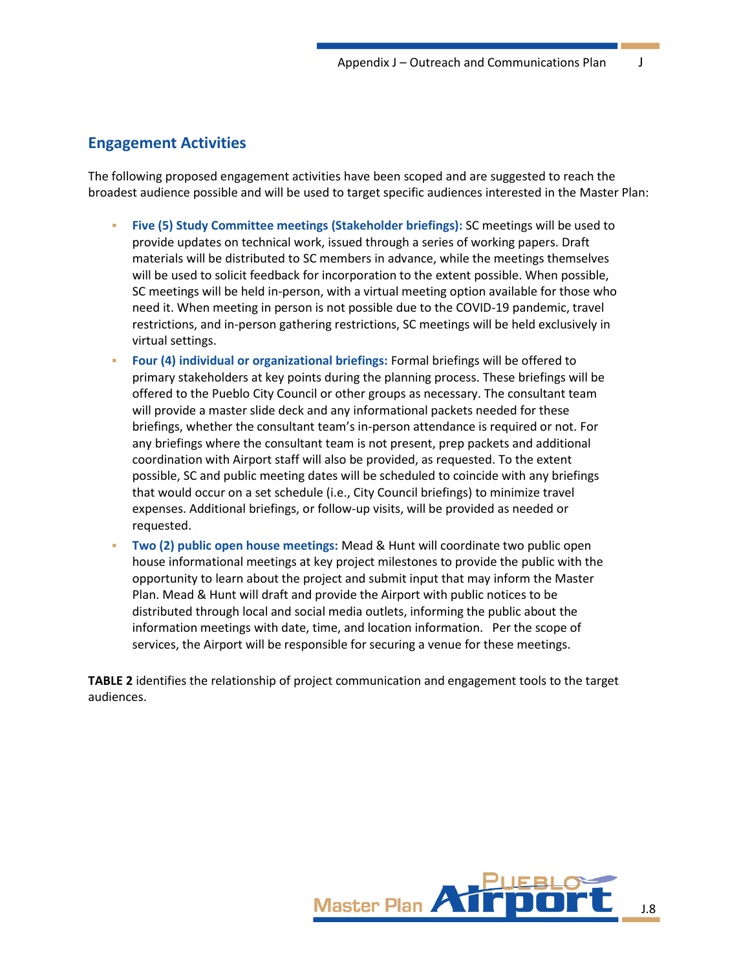# **Engagement Activities**

The following proposed engagement activities have been scoped and are suggested to reach the broadest audience possible and will be used to target specific audiences interested in the Master Plan:

- **Five (5) Study Committee meetings (Stakeholder briefings):** SC meetings will be used to provide updates on technical work, issued through a series of working papers. Draft materials will be distributed to SC members in advance, while the meetings themselves will be used to solicit feedback for incorporation to the extent possible. When possible, SC meetings will be held in-person, with a virtual meeting option available for those who need it. When meeting in person is not possible due to the COVID-19 pandemic, travel restrictions, and in-person gathering restrictions, SC meetings will be held exclusively in virtual settings.
- **Four (4) individual or organizational briefings:** Formal briefings will be offered to primary stakeholders at key points during the planning process. These briefings will be offered to the Pueblo City Council or other groups as necessary. The consultant team will provide a master slide deck and any informational packets needed for these briefings, whether the consultant team's in-person attendance is required or not. For any briefings where the consultant team is not present, prep packets and additional coordination with Airport staff will also be provided, as requested. To the extent possible, SC and public meeting dates will be scheduled to coincide with any briefings that would occur on a set schedule (i.e., City Council briefings) to minimize travel expenses. Additional briefings, or follow-up visits, will be provided as needed or requested.
- **Two (2) public open house meetings:** Mead & Hunt will coordinate two public open house informational meetings at key project milestones to provide the public with the opportunity to learn about the project and submit input that may inform the Master Plan. Mead & Hunt will draft and provide the Airport with public notices to be distributed through local and social media outlets, informing the public about the information meetings with date, time, and location information. Per the scope of services, the Airport will be responsible for securing a venue for these meetings.

**[TABLE](#page-8-0) 2** identifies the relationship of project communication and engagement tools to the target audiences.

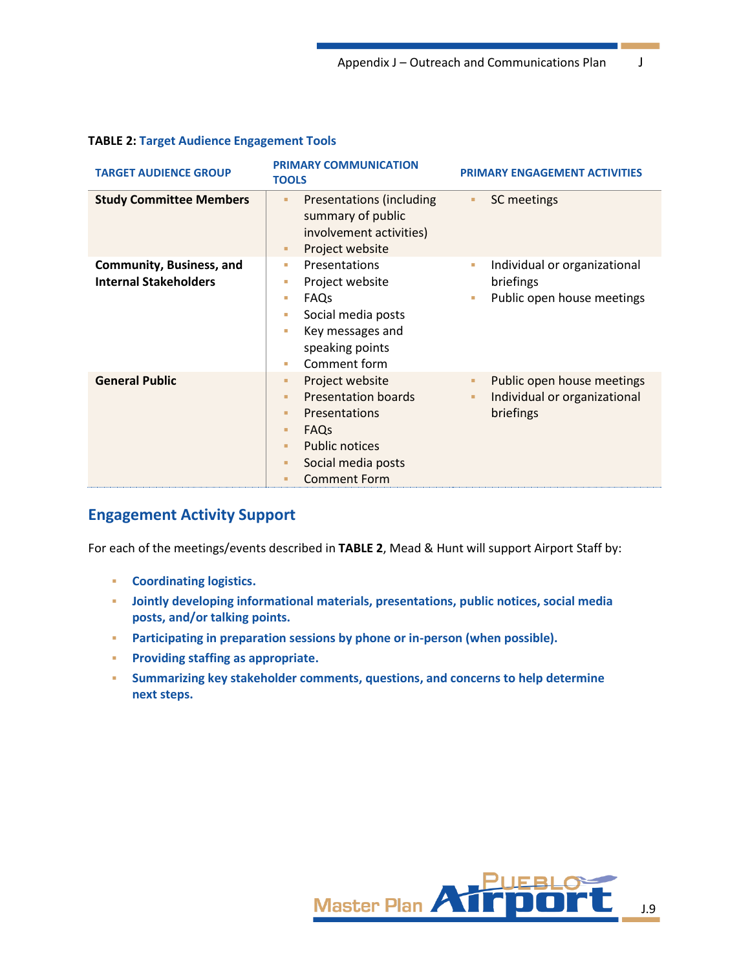| <b>TARGET AUDIENCE GROUP</b>                                    | <b>PRIMARY COMMUNICATION</b><br><b>TOOLS</b>                                                                                                                                                | <b>PRIMARY ENGAGEMENT ACTIVITIES</b>                                               |
|-----------------------------------------------------------------|---------------------------------------------------------------------------------------------------------------------------------------------------------------------------------------------|------------------------------------------------------------------------------------|
| <b>Study Committee Members</b>                                  | Presentations (including<br>٠<br>summary of public<br>involvement activities)<br>Project website<br>٠                                                                                       | SC meetings<br>٠                                                                   |
| <b>Community, Business, and</b><br><b>Internal Stakeholders</b> | Presentations<br>a.<br>Project website<br>×.<br>FAQs<br>L.<br>Social media posts<br>L.<br>Key messages and<br>a.<br>speaking points<br>Comment form<br>a.                                   | Individual or organizational<br>×.<br>briefings<br>Public open house meetings<br>٠ |
| <b>General Public</b>                                           | Project website<br>٠<br><b>Presentation boards</b><br>٠<br>Presentations<br>٠<br>FAQ <sub>S</sub><br>٠<br><b>Public notices</b><br>٠<br>Social media posts<br>٠<br><b>Comment Form</b><br>п | Public open house meetings<br>٠<br>Individual or organizational<br>٠<br>briefings  |

### <span id="page-8-0"></span>**TABLE 2: Target Audience Engagement Tools**

# **Engagement Activity Support**

For each of the meetings/events described in **[TABLE](#page-8-0) 2**, Mead & Hunt will support Airport Staff by:

- **Coordinating logistics.**
- **Jointly developing informational materials, presentations, public notices, social media posts, and/or talking points.**
- **Participating in preparation sessions by phone or in-person (when possible).**
- **Providing staffing as appropriate.**
- **Summarizing key stakeholder comments, questions, and concerns to help determine next steps.**

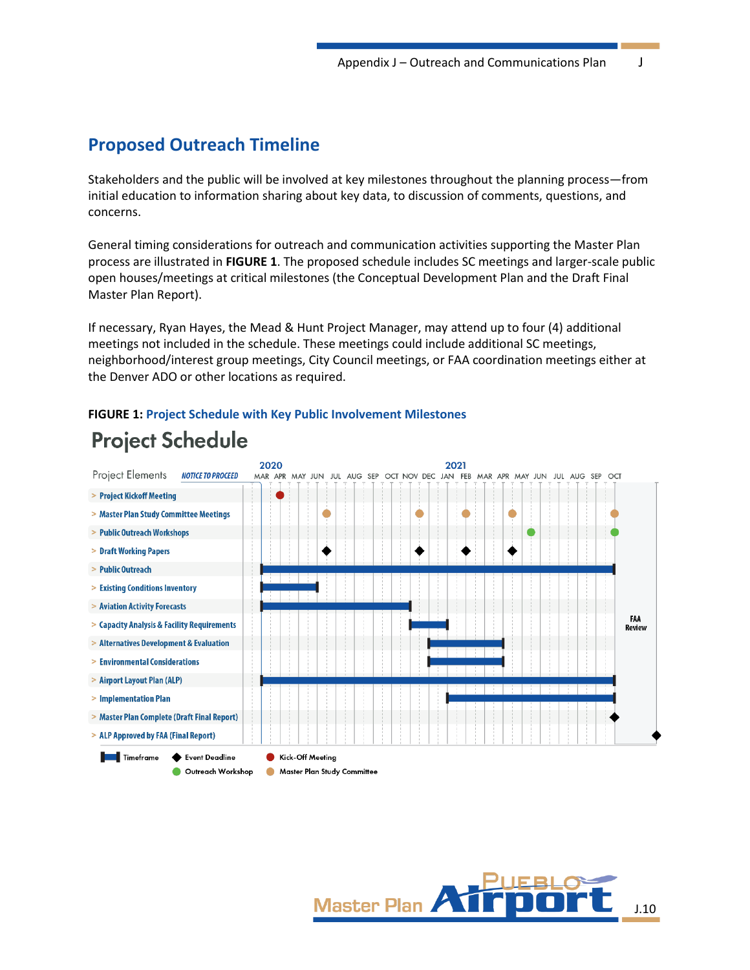# **Proposed Outreach Timeline**

Stakeholders and the public will be involved at key milestones throughout the planning process—from initial education to information sharing about key data, to discussion of comments, questions, and concerns.

General timing considerations for outreach and communication activities supporting the Master Plan process are illustrated in **[FIGURE 1](#page-9-0)**. The proposed schedule includes SC meetings and larger-scale public open houses/meetings at critical milestones (the Conceptual Development Plan and the Draft Final Master Plan Report).

If necessary, Ryan Hayes, the Mead & Hunt Project Manager, may attend up to four (4) additional meetings not included in the schedule. These meetings could include additional SC meetings, neighborhood/interest group meetings, City Council meetings, or FAA coordination meetings either at the Denver ADO or other locations as required.



#### <span id="page-9-0"></span>**FIGURE 1: Project Schedule with Key Public Involvement Milestones**